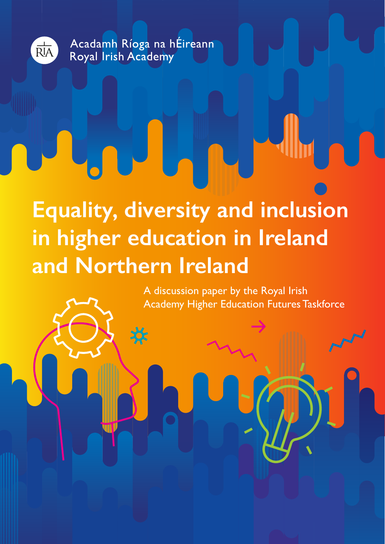

Acadamh Ríoga na hÉireann Royal Irish Academy

# **Equality, diversity and inclusion in higher education in Ireland and Northern Ireland**

A discussion paper by the Royal Irish Academy Higher Education Futures Taskforce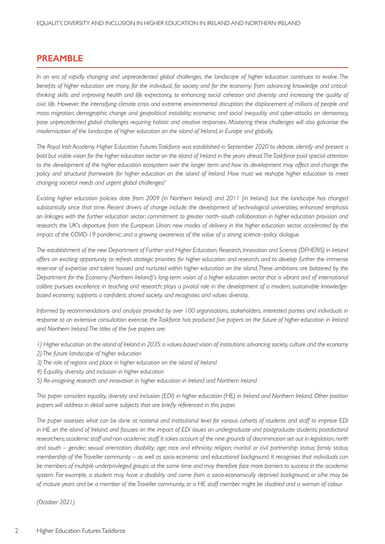## **PREAMBLE**

*In an era of rapidly changing and unprecedented global challenges, the landscape of higher education continues to evolve. The benefits of higher education are many, for the individual, for society and for the economy: from advancing knowledge and criticalthinking skills and improving health and life expectancy, to enhancing social cohesion and diversity and increasing the quality of civic life. However, the intensifying climate crisis and extreme environmental disruption; the displacement of millions of people and mass migration; demographic change and geopolitical instability; economic and social inequality and cyber-attacks on democracy, pose unprecedented global challenges requiring holistic and creative responses. Mastering these challenges will also galvanise the modernisation of the landscape of higher education on the island of Ireland, in Europe and globally.* 

*The Royal Irish Academy Higher Education Futures Taskforce was established in September 2020 to debate, identify and present a bold but viable vision for the higher education sector on the island of Ireland in the years ahead. The Taskforce paid special attention*  to the development of the higher education ecosystem over the longer term and how its development may affect and change the *policy and structural framework for higher education on the island of Ireland. How must we reshape higher education to meet changing societal needs and urgent global challenges?*

*Existing higher education policies date from 2009 (in Northern Ireland) and 2011 (in Ireland) but the landscape has changed substantially since that time. Recent drivers of change include: the development of technological universities; enhanced emphasis on linkages with the further education sector; commitment to greater north–south collaboration in higher education provision and research; the UK's departure from the European Union; new modes of delivery in the higher education sector, accelerated by the impact of the COVID-19 pandemic; and a growing awareness of the value of a strong science–policy dialogue.* 

*The establishment of the new Department of Further and Higher Education, Research, Innovation and Science (DFHERIS) in Ireland offers an exciting opportunity to refresh strategic priorities for higher education and research, and to develop further the immense reservoir of expertise and talent housed and nurtured within higher education on the island. These ambitions are bolstered by the Department for the Economy (Northern Ireland)'s long-term vision of a higher education sector that is vibrant and of international calibre; pursues excellence in teaching and research; plays a pivotal role in the development of a modern, sustainable knowledgebased economy; supports a confident, shared society; and recognises and values diversity.* 

*Informed by recommendations and analysis provided by over 100 organisations, stakeholders, interested parties and individuals in response to an extensive consultation exercise, the Taskforce has produced five papers on the future of higher education in Ireland and Northern Ireland. The titles of the five papers are:*

*1) Higher education on the island of Ireland in 2035: a values-based vision of institutions advancing society, culture and the economy*

- *2) The future landscape of higher education*
- *3) The role of regions and place in higher education on the island of Ireland*
- *4) Equality, diversity and inclusion in higher education*
- *5) Re-imagining research and innovation in higher education in Ireland and Northern Ireland*

*This paper considers equality, diversity and inclusion (EDI) in higher education (HE) in Ireland and Northern Ireland. Other position* papers will address in detail some subjects that are briefly referenced in this paper.

*The paper assesses what can be done at national and institutional level for various cohorts of students and staff to improve EDI in HE on the island of Ireland, and focuses on the impact of EDI issues on undergraduate and postgraduate students; postdoctoral researchers; academic staff and non-academic staff. It takes account of the nine grounds of discrimination set out in legislation, north and south – gender; sexual orientation; disability; age; race and ethnicity; religion; marital or civil partnership status; family status; membership of the Traveller community – as well as socio-economic and educational background. It recognises that individuals can be members of multiple underprivileged groups at the same time and may therefore face more barriers to success in the academic system. For example, a student may have a disability and come from a socio-economically deprived background, or s/he may be of mature years and be a member of the Traveller community, or a HE staff member might be disabled and a woman of colour.*

*(October 2021)*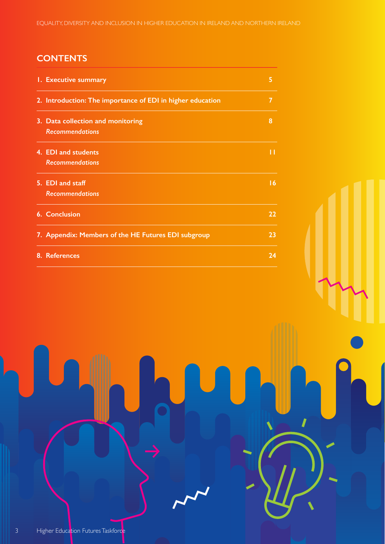## **CONTENTS**

| 1. Executive summary                                       | 5  |
|------------------------------------------------------------|----|
| 2. Introduction: The importance of EDI in higher education | 7  |
| 3. Data collection and monitoring                          | 8  |
| <b>Recommendations</b>                                     |    |
| 4. EDI and students                                        |    |
| <b>Recommendations</b>                                     |    |
| 5. EDI and staff                                           | 16 |
| <b>Recommendations</b>                                     |    |
| <b>6. Conclusion</b>                                       | 22 |
| 7. Appendix: Members of the HE Futures EDI subgroup        | 23 |
| 8. References                                              | 24 |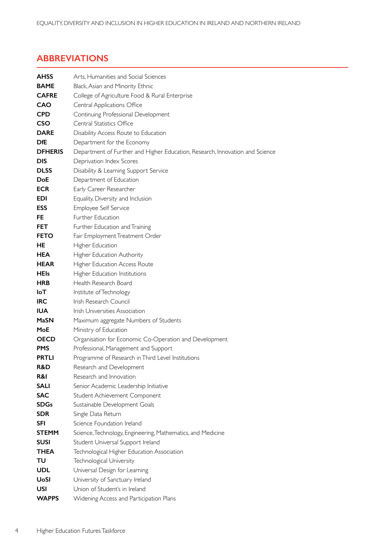## **ABBREVIATIONS**

| <b>AHSS</b>    | Arts, Humanities and Social Sciences                                         |
|----------------|------------------------------------------------------------------------------|
| <b>BAME</b>    | Black, Asian and Minority Ethnic                                             |
| <b>CAFRE</b>   | College of Agriculture Food & Rural Enterprise                               |
| <b>CAO</b>     | Central Applications Office                                                  |
| <b>CPD</b>     | Continuing Professional Development                                          |
| <b>CSO</b>     | Central Statistics Office                                                    |
| <b>DARE</b>    | Disability Access Route to Education                                         |
| <b>DfE</b>     | Department for the Economy                                                   |
| <b>DFHERIS</b> | Department of Further and Higher Education, Research, Innovation and Science |
| <b>DIS</b>     | Deprivation Index Scores                                                     |
| <b>DLSS</b>    | Disability & Learning Support Service                                        |
| DoE            | Department of Education                                                      |
| <b>ECR</b>     | Early Career Researcher                                                      |
| <b>EDI</b>     | Equality, Diversity and Inclusion                                            |
| <b>ESS</b>     | Employee Self Service                                                        |
| FE.            | Further Education                                                            |
| <b>FET</b>     | Further Education and Training                                               |
| <b>FETO</b>    | Fair Employment Treatment Order                                              |
| HE             | Higher Education                                                             |
| <b>HEA</b>     | Higher Education Authority                                                   |
| <b>HEAR</b>    | Higher Education Access Route                                                |
| <b>HEIs</b>    | Higher Education Institutions                                                |
| <b>HRB</b>     | Health Research Board                                                        |
| IoT            | Institute of Technology                                                      |
| <b>IRC</b>     | Irish Research Council                                                       |
| <b>IUA</b>     | Irish Universities Association                                               |
| <b>MaSN</b>    | Maximum aggregate Numbers of Students                                        |
| MoE            | Ministry of Education                                                        |
| <b>OECD</b>    | Organisation for Economic Co-Operation and Development                       |
| <b>PMS</b>     | Professional, Management and Support                                         |
| <b>PRTLI</b>   | Programme of Research in Third Level Institutions                            |
| R&D            | Research and Development                                                     |
| R&I            | Research and Innovation                                                      |
| <b>SALI</b>    | Senior Academic Leadership Initiative                                        |
| <b>SAC</b>     | Student Achievement Component                                                |
| <b>SDGs</b>    | Sustainable Development Goals                                                |
| <b>SDR</b>     | Single Data Return                                                           |
| <b>SFI</b>     | Science Foundation Ireland                                                   |
| <b>STEMM</b>   | Science, Technology, Engineering, Mathematics, and Medicine                  |
| <b>SUSI</b>    | Student Universal Support Ireland                                            |
| THEA           | Technological Higher Education Association                                   |
| TU             | Technological University                                                     |
| <b>UDL</b>     | Universal Design for Learning                                                |
| <b>UoSI</b>    | University of Sanctuary Ireland                                              |
| <b>USI</b>     | Union of Student's in Ireland                                                |
| <b>WAPPS</b>   | Widening Access and Participation Plans                                      |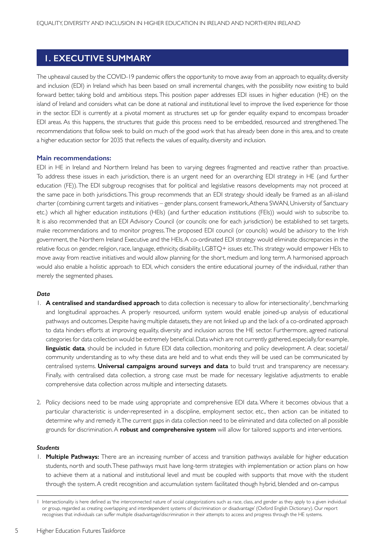## **1. EXECUTIVE SUMMARY**

The upheaval caused by the COVID-19 pandemic offers the opportunity to move away from an approach to equality, diversity and inclusion (EDI) in Ireland which has been based on small incremental changes, with the possibility now existing to build forward better, taking bold and ambitious steps. This position paper addresses EDI issues in higher education (HE) on the island of Ireland and considers what can be done at national and institutional level to improve the lived experience for those in the sector. EDI is currently at a pivotal moment as structures set up for gender equality expand to encompass broader EDI areas. As this happens, the structures that guide this process need to be embedded, resourced and strengthened. The recommendations that follow seek to build on much of the good work that has already been done in this area, and to create a higher education sector for 2035 that reflects the values of equality, diversity and inclusion.

#### **Main recommendations:**

EDI in HE in Ireland and Northern Ireland has been to varying degrees fragmented and reactive rather than proactive. To address these issues in each jurisdiction, there is an urgent need for an overarching EDI strategy in HE (and further education (FE)). The EDI subgroup recognises that for political and legislative reasons developments may not proceed at the same pace in both jurisdictions. This group recommends that an EDI strategy should ideally be framed as an all-island charter (combining current targets and initiatives – gender plans, consent framework, Athena SWAN, University of Sanctuary etc.) which all higher education institutions (HEIs) (and further education institutions (FEIs)) would wish to subscribe to. It is also recommended that an EDI Advisory Council (or councils: one for each jurisdiction) be established to set targets, make recommendations and to monitor progress. The proposed EDI council (or councils) would be advisory to the Irish government, the Northern Ireland Executive and the HEIs. A co-ordinated EDI strategy would eliminate discrepancies in the relative focus on gender, religion, race, language, ethnicity, disability, LGBTQ+ issues etc. This strategy would empower HEIs to move away from reactive initiatives and would allow planning for the short, medium and long term. A harmonised approach would also enable a holistic approach to EDI, which considers the entire educational journey of the individual, rather than merely the segmented phases.

#### *Data*

- 1. A centralised and standardised approach to data collection is necessary to allow for intersectionality<sup>1</sup>, benchmarking and longitudinal approaches. A properly resourced, uniform system would enable joined-up analysis of educational pathways and outcomes. Despite having multiple datasets, they are not linked up and the lack of a co-ordinated approach to data hinders efforts at improving equality, diversity and inclusion across the HE sector. Furthermore, agreed national categories for data collection would be extremely beneficial.Data which are not currently gathered, especially, for example, **linguistic data**, should be included in future EDI data collection, monitoring and policy development. A clear, societal/ community understanding as to why these data are held and to what ends they will be used can be communicated by centralised systems. **Universal campaigns around surveys and data** to build trust and transparency are necessary. Finally, with centralised data collection, a strong case must be made for necessary legislative adjustments to enable comprehensive data collection across multiple and intersecting datasets.
- 2. Policy decisions need to be made using appropriate and comprehensive EDI data. Where it becomes obvious that a particular characteristic is under-represented in a discipline, employment sector, etc., then action can be initiated to determine why and remedy it. The current gaps in data collection need to be eliminated and data collected on all possible grounds for discrimination. A **robust and comprehensive system** will allow for tailored supports and interventions.

#### *Students*

1. **Multiple Pathways:** There are an increasing number of access and transition pathways available for higher education students, north and south. These pathways must have long-term strategies with implementation or action plans on how to achieve them at a national and institutional level and must be coupled with supports that move with the student through the system. A credit recognition and accumulation system facilitated though hybrid, blended and on-campus

<sup>1</sup> Intersectionality is here defined as 'the interconnected nature of social categorizations such as race, class, and gender as they apply to a given individual or group, regarded as creating overlapping and interdependent systems of discrimination or disadvantage' (Oxford English Dictionary). Our report recognises that individuals can suffer multiple disadvantage/discrimination in their attempts to access and progress through the HE systems.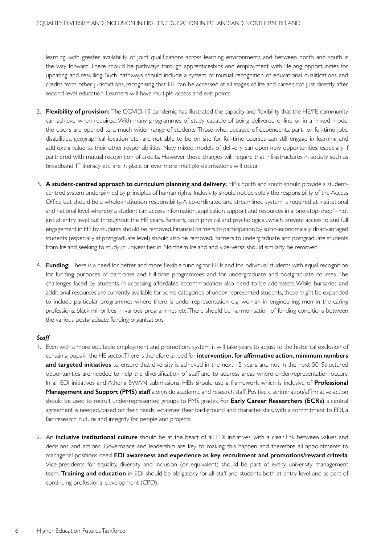learning, with greater availability of joint qualifications across learning environments and between north and south is the way forward. There should be pathways through apprenticeships and employment with lifelong opportunities for updating and reskilling. Such pathways should include a system of mutual recognition of educational qualifications and credits from other jurisdictions, recognising that HE can be accessed at all stages of life and career, not just directly after second level education. Learners will have multiple access and exit points.

- 2. **Flexibility of provision:** The COVID-19 pandemic has illustrated the capacity and flexibility that the HE/FE community can achieve when required. With many programmes of study capable of being delivered online or in a mixed mode, the doors are opened to a much wider range of students. Those who, because of dependents, part- or full-time jobs, disabilities, geographical location etc., are not able to be on site for full-time courses can still engage in learning and add extra value to their other responsibilities. New mixed models of delivery can open new opportunities, especially if partnered with mutual recognition of credits. However, these changes will require that infrastructures in society such as broadband, IT literacy etc. are in place or ever more multiple deprivations will occur.
- 3. **A student-centred approach to curriculum planning and delivery:** HEIs north and south should provide a studentcentred system underpinned by principles of human rights. Inclusivity should not be solely the responsibility of the Access Office but should be a whole-institution responsibility.A co-ordinated and streamlined system is required at institutional and national level whereby a student can access information, application support and resources in a 'one-stop-shop' – not just at entry level but throughout the HE years. Barriers, both physical and psychological, which prevent access to and full engagement in HE by students should be removed. Financial barriers to participation by socio-economically disadvantaged students (especially at postgraduate level) should also be removed. Barriers to undergraduate and postgraduate students from Ireland seeking to study in universities in Northern Ireland and vice-versa should similarly be removed.
- 4. **Funding:** There is a need for better and more flexible funding for HEIs and for individual students with equal recognition for funding purposes of part-time and full-time programmes and for undergraduate and postgraduate courses. The challenges faced by students in accessing affordable accommodation also need to be addressed. While bursaries and additional resources are currently available for some categories of under-represented students, these might be expanded to include particular programmes where there is under-representation e.g. woman in engineering; men in the caring professions; black minorities in various programmes etc. There should be harmonisation of funding conditions between the various postgraduate funding organisations.

#### *Staff*

- 1. Even with a more equitable employment and promotions system, it will take years to adjust to the historical exclusion of certain groups in the HE sector. There is therefore a need for **intervention, for affirmative action, minimum numbers and targeted initiatives** to ensure that diversity is achieved in the next 15 years and not in the next 50. Structured oppor tunities are needed to help the diversification of staff and to address areas where under-representation occurs. In all EDI initiatives and Athena SWAN submissions, HEIs should use a framework which is inclusive of **Professional Management and Support (PMS) staff** alongside academic and research staff. Positive discrimination/affirmative action should be used to recruit under-represented groups to PMS grades. For **Early Career Researchers (ECRs)** a central agreement is needed, based on their needs, whatever their background and characteristics, with a commitment to EDI, a fair research culture and integrity for people and projects.
- 2. An **inclusive institutional culture** should be at the heart of all EDI initiatives, with a clear link between values and decisions and actions. Governance and leadership are key to making this happen and therefore all appointments to managerial positions need **EDI awareness and experience as key recruitment and promotions/reward criteria**. Vice-presidents for equality, diversity and inclusion (or equivalent) should be part of every university management team. **Training and education** in EDI should be obligatory for all staff and students both at entry level and as part of continuing professional development (CPD).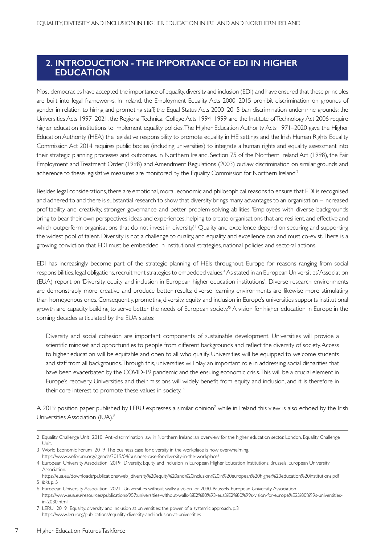## **2. INTRODUCTION - THE IMPORTANCE OF EDI IN HIGHER EDUCATION**

Most democracies have accepted the importance of equality, diversity and inclusion (EDI) and have ensured that these principles are built into legal frameworks. In Ireland, the Employment Equality Acts 2000–2015 prohibit discrimination on grounds of gender in relation to hiring and promoting staff; the Equal Status Acts 2000–2015 ban discrimination under nine grounds; the Universities Acts 1997–2021, the Regional Technical College Acts 1994–1999 and the Institute of Technology Act 2006 require higher education institutions to implement equality policies. The Higher Education Authority Acts 1971–2020 gave the Higher Education Authority (HEA) the legislative responsibility to promote equality in HE settings and the Irish Human Rights Equality Commission Act 2014 requires public bodies (including universities) to integrate a human rights and equality assessment into their strategic planning processes and outcomes. In Northern Ireland, Section 75 of the Northern Ireland Act (1998), the Fair Employment and Treatment Order (1998) and Amendment Regulations (2003) outlaw discrimination on similar grounds and adherence to these legislative measures are monitored by the Equality Commission for Northern Ireland.2

Besides legal considerations, there are emotional, moral, economic and philosophical reasons to ensure that EDI is recognised and adhered to and there is substantial research to show that diversity brings many advantages to an organisation – increased profitability and creativity, stronger governance and better problem-solving abilities. 'Employees with diverse backgrounds bring to bear their own perspectives, ideas and experiences, helping to create organisations that are resilient, and effective and which outperform organisations that do not invest in diversity.<sup>3</sup> Quality and excellence depend on securing and supporting the widest pool of talent. Diversity is not a challenge to quality, and equality and excellence can and must co-exist. There is a growing conviction that EDI must be embedded in institutional strategies, national policies and sectoral actions.

EDI has increasingly become part of the strategic planning of HEIs throughout Europe for reasons ranging from social responsibilities, legal obligations, recruitment strategies to embedded values.<sup>4</sup> As stated in an European Universities' Association (EUA) report on 'Diversity, equity and inclusion in European higher education institutions', 'Diverse research environments are demonstrably more creative and produce better results; diverse learning environments are likewise more stimulating than homogenous ones. Consequently, promoting diversity, equity and inclusion in Europe's universities supports institutional growth and capacity building to serve better the needs of European society.'<sup>5</sup> A vision for higher education in Europe in the coming decades articulated by the EUA states:

Diversity and social cohesion are important components of sustainable development. Universities will provide a scientific mindset and opportunities to people from different backgrounds and reflect the diversity of society. Access to higher education will be equitable and open to all who qualify. Universities will be equipped to welcome students and staff from all backgrounds. Through this, universities will play an important role in addressing social disparities that have been exacerbated by the COVID-19 pandemic and the ensuing economic crisis. This will be a crucial element in Europe's recovery. Universities and their missions will widely benefit from equity and inclusion, and it is therefore in their core interest to promote these values in society. 6

A 2019 position paper published by LERU expresses a similar opinion<sup>7</sup> while in Ireland this view is also echoed by the Irish Universities Association (IUA).<sup>8</sup>

<sup>2</sup> Equality Challenge Unit 2010 Anti-discrimination law in Northern Ireland: an overview for the higher education sector. London. Equality Challenge Unit.

<sup>3</sup> World Economic Forum 2019 The business case for diversity in the workplace is now overwhelming. https://www.weforum.org/agenda/2019/04/business-case-for-diversity-in-the-workplace/

<sup>4</sup> European University Association 2019 Diversity, Equity and Inclusion in European Higher Education Institutions. Brussels. European University Association.

https://eua.eu/downloads/publications/web\_diversity%20equity%20and%20inclusion%20in%20european%20higher%20education%20institutions.pdf 5 *Ibid*, p. 5

<sup>6</sup> European University Association 2021 Universities without walls: a vision for 2030. Brussels. European University Association https://www.eua.eu/resources/publications/957:universities-without-walls-%E2%80%93-eua%E2%80%99s-vision-for-europe%E2%80%99s-universitiesin-2030.html

<sup>7</sup> LERU 2019 Equality, diversity and inclusion at universities: the power of a systemic approach. p.3 https://www.leru.org/publications/equality-diversity-and-inclusion-at-universities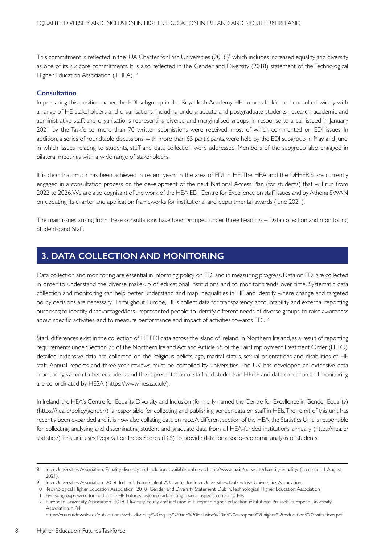This commitment is reflected in the IUA Charter for Irish Universities (2018)<sup>9</sup> which includes increased equality and diversity as one of its six core commitments. It is also reflected in the Gender and Diversity (2018) statement of the Technological Higher Education Association (THEA).<sup>10</sup>

#### **Consultation**

In preparing this position paper, the EDI subgroup in the Royal Irish Academy HE Futures Taskforce<sup>11</sup> consulted widely with a range of HE stakeholders and organisations, including undergraduate and postgraduate students; research, academic and administrative staff; and organisations representing diverse and marginalised groups. In response to a call issued in January 2021 by the Taskforce, more than 70 written submissions were received, most of which commented on EDI issues. In addition, a series of roundtable discussions, with more than 65 participants, were held by the EDI subgroup in May and June, in which issues relating to students, staff and data collection were addressed. Members of the subgroup also engaged in bilateral meetings with a wide range of stakeholders.

It is clear that much has been achieved in recent years in the area of EDI in HE. The HEA and the DFHERIS are currently engaged in a consultation process on the development of the next National Access Plan (for students) that will run from 2022 to 2026. We are also cognisant of the work of the HEA EDI Centre for Excellence on staff issues and by Athena SWAN on updating its charter and application frameworks for institutional and departmental awards (June 2021).

The main issues arising from these consultations have been grouped under three headings – Data collection and monitoring; Students; and Staff.

## **3. DATA COLLECTION AND MONITORING**

Data collection and monitoring are essential in informing policy on EDI and in measuring progress. Data on EDI are collected in order to understand the diverse make-up of educational institutions and to monitor trends over time. Systematic data collection and monitoring can help better understand and map inequalities in HE and identify where change and targeted policy decisions are necessary. Throughout Europe, HEIs collect data for transparency; accountability and external reporting purposes; to identify disadvantaged/less- represented people; to identify different needs of diverse groups; to raise awareness about specific activities; and to measure performance and impact of activities towards EDI.<sup>12</sup>

Stark differences exist in the collection of HE EDI data across the island of Ireland. In Northern Ireland, as a result of reporting requirements under Section 75 of the Northern Ireland Act and Article 55 of the Fair Employment Treatment Order (FETO), detailed, extensive data are collected on the religious beliefs, age, marital status, sexual orientations and disabilities of HE staff. Annual reports and three-year reviews must be compiled by universities. The UK has developed an extensive data monitoring system to better understand the representation of staff and students in HE/FE and data collection and monitoring are co-ordinated by HESA (https://www.hesa.ac.uk/).

In Ireland, the HEA's Centre for Equality, Diversity and Inclusion (formerly named the Centre for Excellence in Gender Equality) (https://hea.ie/policy/gender/) is responsible for collecting and publishing gender data on staff in HEIs. The remit of this unit has recently been expanded and it is now also collating data on race. A different section of the HEA, the Statistics Unit, is responsible for collecting, analysing and disseminating student and graduate data from all HEA-funded institutions annually (https://hea.ie/ statistics/). This unit uses Deprivation Index Scores (DIS) to provide data for a socio-economic analysis of students.

<sup>8</sup> Irish Universities Association, 'Equality, diversity and inclusion', available online at: https://www.iua.ie/ourwork/diversity-equality/ (accessed 11 August 2021).

<sup>9</sup> Irish Universities Association 2018 Ireland's Future Talent: A Charter for Irish Universities. Dublin. Irish Universities Association.

<sup>10</sup> Technological Higher Education Association 2018 Gender and Diversity Statement. Dublin. Technological Higher Education Association

<sup>11</sup> Five subgroups were formed in the HE Futures Taskforce addressing several aspects central to HE.

<sup>12</sup> European University Association 2019 Diversity, equity and inclusion in European higher education institutions. Brussels. European University Association. p. 34 https://eua.eu/downloads/publications/web\_diversity%20equity%20and%20inclusion%20in%20european%20higher%20education%20institutions.pdf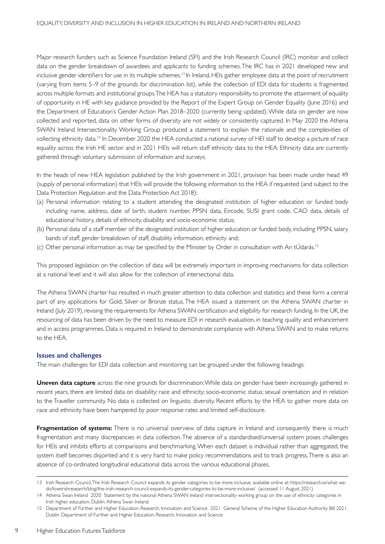Major research funders such as Science Foundation Ireland (SFI) and the Irish Research Council (IRC) monitor and collect data on the gender breakdown of awardees and applicants to funding schemes. The IRC has in 2021 developed new and inclusive gender identifiers for use in its multiple schemes.<sup>13</sup> In Ireland, HEIs gather employee data at the point of recruitment (varying from items 5–9 of the grounds for discrimination list), while the collection of EDI data for students is fragmented across multiple formats and institutional groups. The HEA has a statutory responsibility to promote the attainment of equality of opportunity in HE with key guidance provided by the Report of the Expert Group on Gender Equality (June 2016) and the Department of Education's Gender Action Plan 2018–2020 (currently being updated). While data on gender are now collected and reported, data on other forms of diversity are not widely or consistently captured. In May 2020 the Athena SWAN Ireland Intersectionality Working Group produced a statement to explain the rationale and the complexities of collecting ethnicity data.14 In December 2020 the HEA conducted a national survey of HEI staff to develop a picture of race equality across the Irish HE sector and in 2021 HEIs will return staff ethnicity data to the HEA. Ethnicity data are currently gathered through voluntary submission of information and surveys.

In the heads of new HEA legislation published by the Irish government in 2021, provision has been made under head 49 (supply of personal information) that HEIs will provide the following information to the HEA if requested (and subject to the Data Protection Regulation and the Data Protection Act 2018):

- (a) Personal information relating to a student attending the designated institution of higher education or funded body including name, address, date of birth, student number, PPSN data, Eircode, SUSI grant code, CAO data, details of educational history, details of ethnicity, disability and socio-economic status;
- (b) Personal data of a staff member of the designated institution of higher education or funded body, including PPSN, salary bands of staff, gender breakdown of staff, disability information, ethnicity and;
- (c) Other personal information as may be specified by the Minister by Order in consultation with An tÚdarás.<sup>15</sup>

This proposed legislation on the collection of data will be extremely important in improving mechanisms for data collection at a national level and it will also allow for the collection of intersectional data.

The Athena SWAN charter has resulted in much greater attention to data collection and statistics and these form a central part of any applications for Gold, Silver or Bronze status. The HEA issued a statement on the Athena SWAN charter in Ireland (July 2019), revising the requirements for Athena SWAN certification and eligibility for research funding. In the UK, the resourcing of data has been driven by the need to measure EDI in research evaluation, in teaching quality and enhancement and in access programmes. Data is required in Ireland to demonstrate compliance with Athena SWAN and to make returns to the HEA.

#### **Issues and challenges**

The main challenges for EDI data collection and monitoring can be grouped under the following headings:

**Uneven data capture** across the nine grounds for discrimination: While data on gender have been increasingly gathered in recent years, there are limited data on disability; race and ethnicity; socio-economic status; sexual orientation and in relation to the Traveller community. No data is collected on linguistic diversity. Recent efforts by the HEA to gather more data on race and ethnicity have been hampered by poor response rates and limited self-disclosure.

**Fragmentation of systems:** There is no universal overview of data capture in Ireland and consequently there is much fragmentation and many discrepancies in data collection. The absence of a standardised/universal system poses challenges for HEIs and inhibits efforts at comparisons and benchmarking. When each dataset is individual rather than aggregated, the system itself becomes disjointed and it is very hard to make policy recommendations and to track progress. There is also an absence of co-ordinated longitudinal educational data across the various educational phases.

<sup>13</sup> Irish Research Council, The Irish Research Council expands its gender categories to be more inclusive, available online at: https://research.ie/what-wedo/loveirishresearch/blog/the-irish-research-council-expands-its-gender-categories-to-be-more-inclusive/ (accessed 11 August 2021)

<sup>14</sup> Athena Swan Ireland 2020 Statement by the national Athena SWAN Ireland intersectionality working group on the use of ethnicity categories in Irish higher education. Dublin. Athena Swan Ireland.

<sup>15</sup> Department of Further and Higher Education, Research, Innovation and Science 2021 General Scheme of the Higher Education Authority Bill 2021. Dublin. Department of Further and Higher Education, Research, Innovation and Science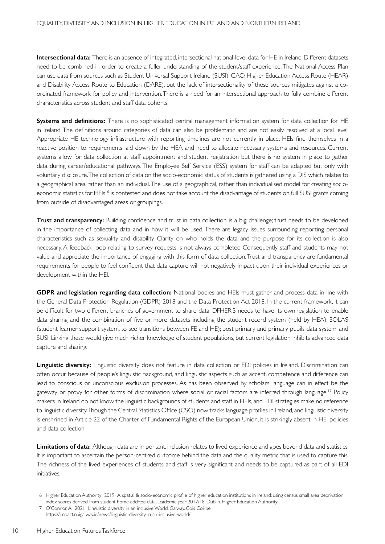**Intersectional data:** There is an absence of integrated, intersectional national-level data for HE in Ireland. Different datasets need to be combined in order to create a fuller understanding of the student/staff experience. The National Access Plan can use data from sources such as Student Universal Support Ireland (SUSI), CAO, Higher Education Access Route (HEAR) and Disability Access Route to Education (DARE), but the lack of intersectionality of these sources mitigates against a coordinated framework for policy and intervention. There is a need for an intersectional approach to fully combine different characteristics across student and staff data cohorts.

**Systems and definitions:** There is no sophisticated central management information system for data collection for HE in Ireland. The definitions around categories of data can also be problematic and are not easily resolved at a local level. Appropriate HE technology infrastructure with reporting timelines are not currently in place. HEIs find themselves in a reactive position to requirements laid down by the HEA and need to allocate necessary systems and resources. Current systems allow for data collection at staff appointment and student registration but there is no system in place to gather data during career/educational pathways. The Employee Self Service (ESS) system for staff can be adapted but only with voluntary disclosure. The collection of data on the socio-economic status of students is gathered using a DIS which relates to a geographical area rather than an individual. The use of a geographical, rather than individualised model for creating socioeconomic statistics for HEIs<sup>16</sup> is contested and does not take account the disadvantage of students on full SUSI grants coming from outside of disadvantaged areas or groupings.

**Trust and transparency:** Building confidence and trust in data collection is a big challenge; trust needs to be developed in the importance of collecting data and in how it will be used. There are legacy issues surrounding reporting personal characteristics such as sexuality and disability. Clarity on who holds the data and the purpose for its collection is also necessary. A feedback loop relating to survey requests is not always completed Consequently staff and students may not value and appreciate the importance of engaging with this form of data collection. Trust and transparency are fundamental requirements for people to feel confident that data capture will not negatively impact upon their individual experiences or development within the HEI.

**GDPR and legislation regarding data collection:** National bodies and HEIs must gather and process data in line with the General Data Protection Regulation (GDPR) 2018 and the Data Protection Act 2018. In the current framework, it can be difficult for two different branches of government to share data. DFHERIS needs to have its own legislation to enable data sharing and the combination of five or more datasets including the student record system (held by HEA); SOLAS (student learner support system, to see transitions between FE and HE); post primary and primary pupils data system; and SUSI. Linking these would give much richer knowledge of student populations, but current legislation inhibits advanced data capture and sharing.

Linguistic diversity: Linguistic diversity does not feature in data collection or EDI policies in Ireland. Discrimination can often occur because of people's linguistic background, and linguistic aspects such as accent, competence and difference can lead to conscious or unconscious exclusion processes. As has been observed by scholars, language can in effect be the gateway or proxy for other forms of discrimination where social or racial factors are inferred through language.<sup>17</sup> Policy makers in Ireland do not know the linguistic backgrounds of students and staff in HEIs, and EDI strategies make no reference to linguistic diversity.Though the Central Statistics Office (CSO) now tracks language profiles in Ireland, and linguistic diversity is enshrined in Article 22 of the Charter of Fundamental Rights of the European Union, it is strikingly absent in HEI policies and data collection.

**Limitations of data:** Although data are important, inclusion relates to lived experience and goes beyond data and statistics. It is important to ascertain the person-centred outcome behind the data and the quality metric that is used to capture this. The richness of the lived experiences of students and staff is very significant and needs to be captured as part of all EDI initiatives.

<sup>16</sup> Higher Education Authority 2019 A spatial & socio-economic profile of higher education institutions in Ireland: using census small area deprivation index scores derived from student home address data, academic year 2017/18. Dublin. Higher Education Authority

<sup>17</sup> O'Connor, A. 2021 Linguistic diversity in an inclusive World. Galway. Cois Coirbe https://impact.nuigalway.ie/news/linguistic-diversity-in-an-inclusive-world/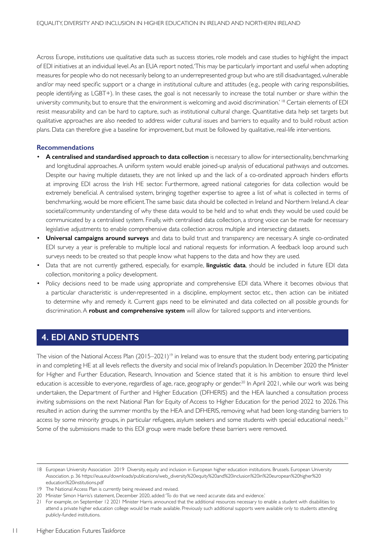Across Europe, institutions use qualitative data such as success stories, role models and case studies to highlight the impact of EDI initiatives at an individual level.As an EUA report noted, This may be particularly important and useful when adopting measures for people who do not necessarily belong to an underrepresented group but who are still disadvantaged, vulnerable and/or may need specific support or a change in institutional culture and attitudes (e.g., people with caring responsibilities, people identifying as LGBT+). In these cases, the goal is not necessarily to increase the total number or share within the university community, but to ensure that the environment is welcoming and avoid discrimination.' 18 Certain elements of EDI resist measurability and can be hard to capture, such as institutional cultural change. Quantitative data help set targets but qualitative approaches are also needed to address wider cultural issues and barriers to equality and to build robust action plans. Data can therefore give a baseline for improvement, but must be followed by qualitative, real-life interventions.

#### **Recommendations**

- **A centralised and standardised approach to data collection** is necessary to allow for intersectionality, benchmarking and longitudinal approaches. A uniform system would enable joined-up analysis of educational pathways and outcomes. Despite our having multiple datasets, they are not linked up and the lack of a co-ordinated approach hinders efforts at improving EDI across the Irish HE sector. Furthermore, agreed national categories for data collection would be extremely beneficial. A centralised system, bringing together expertise to agree a list of what is collected in terms of benchmarking, would be more efficient. The same basic data should be collected in Ireland and Northern Ireland. A clear societal/community understanding of why these data would to be held and to what ends they would be used could be communicated by a centralised system. Finally, with centralised data collection, a strong voice can be made for necessary legislative adjustments to enable comprehensive data collection across multiple and intersecting datasets.
- **Universal campaigns around surveys** and data to build trust and transparency are necessary. A single co-ordinated EDI survey a year is preferable to multiple local and national requests for information. A feedback loop around such surveys needs to be created so that people know what happens to the data and how they are used.
- Data that are not currently gathered, especially, for example, **linguistic data**, should be included in future EDI data collection, monitoring a policy development.
- Policy decisions need to be made using appropriate and comprehensive EDI data. Where it becomes obvious that a particular characteristic is under-represented in a discipline, employment sector, etc., then action can be initiated to determine why and remedy it. Current gaps need to be eliminated and data collected on all possible grounds for discrimination. A **robust and comprehensive system** will allow for tailored supports and interventions.

## **4. EDI AND STUDENTS**

The vision of the National Access Plan (2015–2021)<sup>19</sup> in Ireland was to ensure that the student body entering, participating in and completing HE at all levels reflects the diversity and social mix of Ireland's population. In December 2020 the Minister for Higher and Further Education, Research, Innovation and Science stated that it is his ambition to ensure third level education is accessible to everyone, regardless of age, race, geography or gender.<sup>20</sup> In April 2021, while our work was being undertaken, the Department of Further and Higher Education (DFHERIS) and the HEA launched a consultation process inviting submissions on the next National Plan for Equity of Access to Higher Education for the period 2022 to 2026. This resulted in action during the summer months by the HEA and DFHERIS, removing what had been long-standing barriers to access by some minority groups, in particular refugees, asylum seekers and some students with special educational needs.<sup>21</sup> Some of the submissions made to this EDI group were made before these barriers were removed.

<sup>18</sup> European University Association 2019 Diversity, equity and inclusion in European higher education institutions. Brussels. European University Association. p. 36 https://eua.eu/downloads/publications/web\_diversity%20equity%20and%20inclusion%20in%20european%20higher%20 education%20institutions.pdf

<sup>19</sup> The National Access Plan is currently being reviewed and revised.

<sup>20</sup> Minister Simon Harris's statement, December 2020, added: 'To do that we need accurate data and evidence.'

<sup>21</sup> For example, on September 12 2021 Minister Harris announced that the additional resources necessary to enable a student with disabilities to attend a private higher education college would be made available. Previously such additional supports were available only to students attending publicly-funded institutions.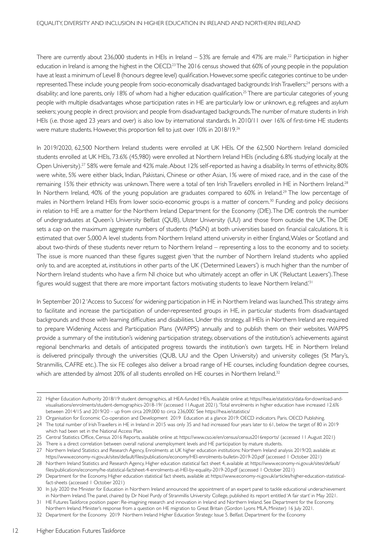There are currently about 236,000 students in HEIs in Ireland  $-53%$  are female and 47% are male.<sup>22</sup> Participation in higher education in Ireland is among the highest in the OECD.<sup>23</sup> The 2016 census showed that 60% of young people in the population have at least a minimum of Level 8 (honours degree level) qualification.However,some specific categories continue to be underrepresented. These include young people from socio-economically disadvantaged backgrounds: Irish Travellers;<sup>24</sup> persons with a disability; and lone parents, only 18% of whom had a higher education qualification.<sup>25</sup> There are particular categories of young people with multiple disadvantages whose participation rates in HE are particularly low or unknown, e.g. refugees and asylum seekers; young people in direct provision; and people from disadvantaged backgrounds. The number of mature students in Irish HEIs (i.e. those aged 23 years and over) is also low by international standards. In 2010/11 over 16% of first-time HE students were mature students. However, this proportion fell to just over 10% in 2018/19.26

In 2019/2020, 62,500 Northern Ireland students were enrolled at UK HEIs. Of the 62,500 Northern Ireland domiciled students enrolled at UK HEIs, 73.6% (45,980) were enrolled at Northern Ireland HEIs (including 6.8% studying locally at the Open University).27 58% were female and 42% male. About 12% self-reported as having a disability. In terms of ethnicity, 80% were white, 5% were either black, Indian, Pakistani, Chinese or other Asian, 1% were of mixed race, and in the case of the remaining 15% their ethnicity was unknown. There were a total of ten Irish Travellers enrolled in HE in Northern Ireland.<sup>28</sup> In Northern Ireland, 40% of the young population are graduates compared to 60% in Ireland.<sup>29</sup> The low percentage of males in Northern Ireland HEIs from lower socio-economic groups is a matter of concern.<sup>30</sup> Funding and policy decisions in relation to HE are a matter for the Northern Ireland Department for the Economy (DfE). The DfE controls the number of undergraduates at Queen's University Belfast (QUB), Ulster University (UU) and those from outside the UK. The DfE sets a cap on the maximum aggregate numbers of students (MaSN) at both universities based on financial calculations. It is estimated that over 5,000 A level students from Northern Ireland attend university in either England, Wales or Scotland and about two-thirds of these students never return to Northern Ireland – representing a loss to the economy and to society. The issue is more nuanced than these figures suggest given 'that the number of Northern Ireland students who applied only to, and are accepted at, institutions in other parts of the UK ('Determined Leavers') is much higher than the number of Nor thern Ireland students who have a firm NI choice but who ultimately accept an offer in UK ('Reluctant Leavers').These figures would suggest that there are more important factors motivating students to leave Northern Ireland.<sup>'31</sup>

In September 2012 'Access to Success' for widening participation in HE in Northern Ireland was launched. This strategy aims to facilitate and increase the participation of under-represented groups in HE, in particular students from disadvantaged backgrounds and those with learning difficulties and disabilities. Under this strategy, all HEIs in Northern Ireland are required to prepare Widening Access and Participation Plans (WAPPS) annually and to publish them on their websites. WAPPS provide a summary of the institution's widening participation strategy, observations of the institution's achievements against regional benchmarks and details of anticipated progress towards the institution's own targets. HE in Northern Ireland is delivered principally through the universities (QUB, UU and the Open University) and university colleges (St Mary's, Stranmillis, CAFRE etc.). The six FE colleges also deliver a broad range of HE courses, including foundation degree courses, which are attended by almost 20% of all students enrolled on HE courses in Northern Ireland.<sup>32</sup>

12

<sup>22</sup> Higher Education Authority 2018/19 student demographics, all HEA-funded HEIs. Available online at: https://hea.ie/statistics/data-for-download-andvisualisations/enrolments/student-demographics-2018-19/ (accessed 11August 2021). 'Total enrolments in higher education have increased 12.6% between 2014/15 and 2019/20 – up from circa 209,000 to circa 236,000.' See https://hea.ie/statistics/

<sup>23</sup> Organisation for Economic Co-operation and Development 2019 Education at a glance 2019: OECD indicators. Paris. OECD Publishing.

<sup>24</sup> The total number of Irish Travellers in HE in Ireland in 2015 was only 35 and had increased four years later to 61, below the target of 80 in 2019 which had been set in the National Access Plan.

<sup>25</sup> Central Statistics Office, Census 2016 Reports, available online at: https://www.cso.ie/en/census/census2016reports/ (accessed 11 August 2021)

<sup>26</sup> There is a direct correlation between overall national unemployment levels and HE participation by mature students.

<sup>27</sup> Northern Ireland Statistics and Research Agency, Enrolments at UK higher education institutions: Northern Ireland analysis 2019/20, available at: https://www.economy-ni.gov.uk/sites/default/files/publications/economy/HEI-enrolments-bulletin-2019-20.pdf (accessed 1 October 2021)

<sup>28</sup> Northern Ireland Statistics and Research Agency, Higher education statistical fact sheet 4, available at: https://www.economy-ni.gov.uk/sites/default/ files/publications/economy/he-statistical-factsheet-4-enrolments-at-HEI-by-equality-2019-20.pdf (accessed 1 October 2021)

<sup>29</sup> Department for the Economy, Higher education statistical fact sheets, available at: https://www.economy-ni.gov.uk/articles/higher-education-statisticalfact-sheets (accessed 1 October 2021)

<sup>30</sup> In July 2020 the Minister for Education in Northern Ireland announced the appointment of an expert panel to tackle educational underachievement in Northern Ireland.The panel, chaired by Dr Noel Purdy of Stranmillis University College, published its report entitled 'A fair start' in May 2021.

<sup>31</sup> HE Futures Taskforce position paper: Re-imagining research and innovation in Ireland and Northern Ireland. See Department for the Economy,

Northern Ireland. Minister's response from a question on HE migration to Great Britain (Gordon Lyons MLA, Minister) 16 July 2021. 32 Department for the Economy 2019 Northern Ireland Higher Education Strategy: Issue 5. Belfast. Department for the Economy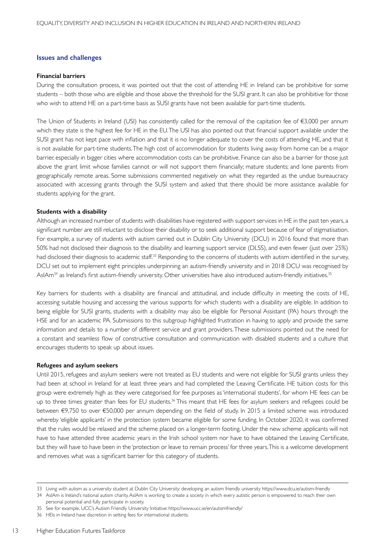### **Issues and challenges**

#### **Financial barriers**

During the consultation process, it was pointed out that the cost of attending HE in Ireland can be prohibitive for some students – both those who are eligible and those above the threshold for the SUSI grant. It can also be prohibitive for those who wish to attend HE on a part-time basis as SUSI grants have not been available for part-time students.

The Union of Students in Ireland (USI) has consistently called for the removal of the capitation fee of  $\epsilon$ 3,000 per annum which they state is the highest fee for HE in the EU. The USI has also pointed out that financial support available under the SUSI grant has not kept pace with inflation and that it is no longer adequate to cover the costs of attending HE, and that it is not available for part-time students. The high cost of accommodation for students living away from home can be a major barrier, especially in bigger cities where accommodation costs can be prohibitive. Finance can also be a barrier for those just above the grant limit whose families cannot or will not support them financially; mature students; and lone parents from geographically remote areas. Some submissions commented negatively on what they regarded as the undue bureaucracy associated with accessing grants through the SUSI system and asked that there should be more assistance available for students applying for the grant.

#### **Students with a disability**

Although an increased number of students with disabilities have registered with support services in HE in the past ten years, a significant number are still reluctant to disclose their disability or to seek additional support because of fear of stigmatisation. For example, a survey of students with autism carried out in Dublin City University (DCU) in 2016 found that more than 50% had not disclosed their diagnosis to the disability and learning support service (DLSS), and even fewer (just over 25%) had disclosed their diagnosis to academic staff.<sup>33</sup> Responding to the concerns of students with autism identified in the survey, DCU set out to implement eight principles underpinning an autism-friendly university and in 2018 DCU was recognised by AsIAm<sup>34</sup> as Ireland's first autism-friendly university. Other universities have also introduced autism-friendly initiatives.<sup>35</sup>

Key barriers for students with a disability are financial and attitudinal, and include difficulty in meeting the costs of HE, accessing suitable housing and accessing the various supports for which students with a disability are eligible. In addition to being eligible for SUSI grants, students with a disability may also be eligible for Personal Assistant (PA) hours through the HSE and for an academic PA. Submissions to this subgroup highlighted frustration in having to apply and provide the same information and details to a number of different service and grant providers. These submissions pointed out the need for a constant and seamless flow of constructive consultation and communication with disabled students and a culture that encourages students to speak up about issues.

#### **Refugees and asylum seekers**

Until 2015, refugees and asylum seekers were not treated as EU students and were not eligible for SUSI grants unless they had been at school in Ireland for at least three years and had completed the Leaving Certificate. HE tuition costs for this group were extremely high as they were categorised for fee purposes as 'international students', for whom HE fees can be up to three times greater than fees for EU students.<sup>36</sup> This meant that HE fees for asylum seekers and refugees could be between €9,750 to over €50,000 per annum depending on the field of study. In 2015 a limited scheme was introduced whereby 'eligible applicants' in the protection system became eligible for some funding. In October 2020, it was confirmed that the rules would be relaxed and the scheme placed on a longer-term footing. Under the new scheme applicants will not have to have attended three academic years in the Irish school system nor have to have obtained the Leaving Certificate, but they will have to have been in the 'protection or leave to remain process' for three years.This is a welcome development and removes what was a significant barrier for this category of students.

<sup>33</sup> Living with autism as a university student at Dublin City University: developing an autism friendly university https://www.dcu.ie/autism-friendly

<sup>34</sup> AsIAm is Ireland's national autism charity. AsIAm is working to create a society in which every autistic person is empowered to reach their own personal potential and fully participate in society.

<sup>35</sup> See for example, UCC's Autism Friendly University Initiative: https://www.ucc.ie/en/autismfriendly/

<sup>36</sup> HEIs in Ireland have discretion in setting fees for international students.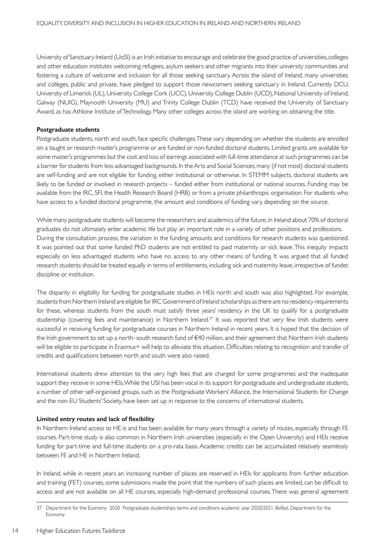University of Sanctuary Ireland (UoSI) is an Irish initiative to encourage and celebrate the good practice of universities, colleges and other education institutes welcoming refugees, asylum seekers and other migrants into their university communities and fostering a culture of welcome and inclusion for all those seeking sanctuary. Across the island of Ireland, many universities and colleges, public and private, have pledged to support those newcomers seeking sanctuary in Ireland. Currently DCU, University of Limerick (UL), University College Cork (UCC), University College Dublin (UCD), National University of Ireland, Galway (NUIG), Maynooth University (MU) and Trinity College Dublin (TCD) have received the University of Sanctuary Award, as has Athlone Institute of Technology. Many other colleges across the island are working on obtaining the title.

#### **Postgraduate students**

Postgraduate students, north and south, face specific challenges. These vary depending on whether the students are enrolled on a taught or research master's programme or are funded or non-funded doctoral students. Limited grants are available for some master's programmes but the cost and loss of earnings associated with full-time attendance at such programmes can be a barrier for students from less advantaged backgrounds. In the Arts and Social Sciences, many (if not most) doctoral students are self-funding and are not eligible for funding, either institutional or otherwise. In STEMM subjects, doctoral students are likely to be funded or involved in research projects – funded either from institutional or national sources. Funding may be available from the IRC, SFI, the Health Research Board (HRB) or from a private philanthropic organisation. For students who have access to a funded doctoral programme, the amount and conditions of funding vary, depending on the source.

While many postgraduate students will become the researchers and academics of the future, in Ireland about 70% of doctoral graduates do not ultimately enter academic life but play an important role in a variety of other positions and professions. During the consultation process, the variation in the funding amounts and conditions for research students was questioned. It was pointed out that some funded PhD students are not entitled to paid maternity or sick leave. This inequity impacts especially on less advantaged students who have no access to any other means of funding. It was argued that all funded research students should be treated equally in terms of entitlements, including sick and maternity leave, irrespective of funder, discipline or institution.

The disparity in eligibility for funding for postgraduate studies in HEIs north and south was also highlighted. For example, students from Northern Ireland are eligible for IRC Government of Ireland scholarships as there are no residency requirements for these, whereas students from the south must satisfy three years' residency in the UK to qualify for a postgraduate studentship (covering fees and maintenance) in Northern Ireland.<sup>37</sup> It was reported that very few Irish students were successful in receiving funding for postgraduate courses in Northern Ireland in recent years. It is hoped that the decision of the Irish government to set up a north–south research fund of €40 million, and their agreement that Northern Irish students will be eligible to participate in Erasmus+ will help to alleviate this situation. Difficulties relating to recognition and transfer of credits and qualifications between north and south were also raised.

International students drew attention to the very high fees that are charged for some programmes and the inadequate support they receive in some HEIs. While the USI has been vocal in its support for postgraduate and undergraduate students, a number of other self-organised groups, such as the Postgraduate Workers' Alliance, the International Students for Change and the non-EU Students' Society, have been set up in response to the concerns of international students.

#### **Limited entry routes and lack of flexibility**

In Northern Ireland access to HE is and has been available for many years through a variety of routes, especially through FE courses. Part-time study is also common in Northern Irish universities (especially in the Open University) and HEIs receive funding for part-time and full-time students on a pro-rata basis. Academic credits can be accumulated relatively seamlessly between FE and HE in Northern Ireland.

In Ireland, while in recent years an increasing number of places are reserved in HEIs for applicants from further education and training (FET) courses, some submissions made the point that the numbers of such places are limited, can be difficult to access and are not available on all HE courses, especially high-demand professional courses. There was general agreement

<sup>37</sup> Department for the Economy 2020 Postgraduate studentships terms and conditions academic year 2020/2021. Belfast. Department for the Economy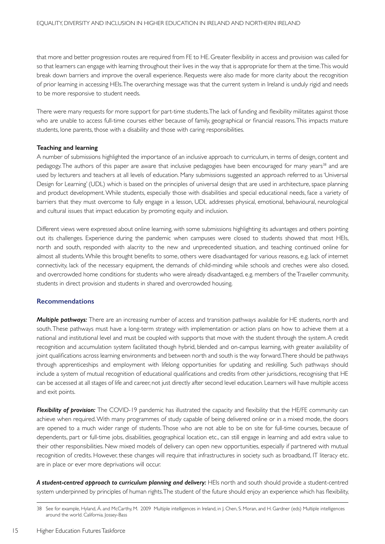that more and better progression routes are required from FE to HE. Greater flexibility in access and provision was called for so that learners can engage with learning throughout their lives in the way that is appropriate for them at the time. This would break down barriers and improve the overall experience. Requests were also made for more clarity about the recognition of prior learning in accessing HEIs. The overarching message was that the current system in Ireland is unduly rigid and needs to be more responsive to student needs.

There were many requests for more support for part-time students. The lack of funding and flexibility militates against those who are unable to access full-time courses either because of family, geographical or financial reasons.This impacts mature students, lone parents, those with a disability and those with caring responsibilities.

#### **Teaching and learning**

A number of submissions highlighted the importance of an inclusive approach to curriculum, in terms of design, content and pedagogy. The authors of this paper are aware that inclusive pedagogies have been encouraged for many years<sup>38</sup> and are used by lecturers and teachers at all levels of education. Many submissions suggested an approach referred to as 'Universal Design for Learning' (UDL) which is based on the principles of universal design that are used in architecture, space planning and product development. While students, especially those with disabilities and special educational needs, face a variety of barriers that they must overcome to fully engage in a lesson, UDL addresses physical, emotional, behavioural, neurological and cultural issues that impact education by promoting equity and inclusion.

Different views were expressed about online learning, with some submissions highlighting its advantages and others pointing out its challenges. Experience during the pandemic when campuses were closed to students showed that most HEIs, north and south, responded with alacrity to the new and unprecedented situation, and teaching continued online for almost all students.While this brought benefits to some, others were disadvantaged for various reasons, e.g. lack of internet connectivity, lack of the necessary equipment, the demands of child-minding while schools and creches were also closed, and overcrowded home conditions for students who were already disadvantaged, e.g. members of the Traveller community, students in direct provision and students in shared and overcrowded housing.

#### **Recommendations**

*Multiple pathways:* There are an increasing number of access and transition pathways available for HE students, north and south. These pathways must have a long-term strategy with implementation or action plans on how to achieve them at a national and institutional level and must be coupled with supports that move with the student through the system. A credit recognition and accumulation system facilitated though hybrid, blended and on-campus learning, with greater availability of joint qualifications across learning environments and between north and south is the way forward.There should be pathways through apprenticeships and employment with lifelong opportunities for updating and reskilling. Such pathways should include a system of mutual recognition of educational qualifications and credits from other jurisdictions, recognising that HE can be accessed at all stages of life and career, not just directly after second level education. Learners will have multiple access and exit points.

*Flexibility of provision:* The COVID-19 pandemic has illustrated the capacity and flexibility that the HE/FE community can achieve when required. With many programmes of study capable of being delivered online or in a mixed mode, the doors are opened to a much wider range of students. Those who are not able to be on site for full-time courses, because of dependents, part or full-time jobs, disabilities, geographical location etc., can still engage in learning and add extra value to their other responsibilities. New mixed models of delivery can open new opportunities, especially if partnered with mutual recognition of credits. However, these changes will require that infrastructures in society such as broadband, IT literacy etc. are in place or ever more deprivations will occur.

A student-centred approach to curriculum planning and delivery: HEIs north and south should provide a student-centred system underpinned by principles of human rights.The student of the future should enjoy an experience which has flexibility,

<sup>38</sup> See for example, Hyland, Á. and McCarthy, M. 2009 Multiple intelligences in Ireland, in J. Chen, S. Moran, and H. Gardner (eds) Multiple intelligences around the world. California. Jossey-Bass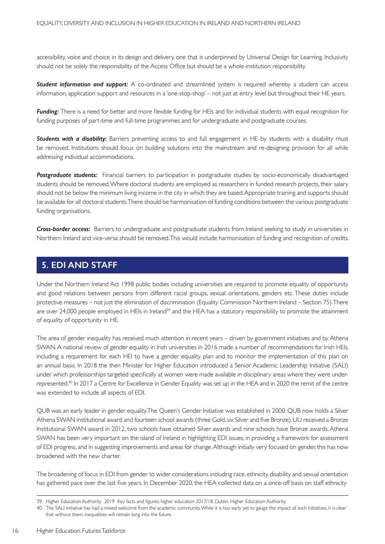accessibility, voice and choice in its design and delivery, one that is underpinned by Universal Design for Learning. Inclusivity should not be solely the responsibility of the Access Office but should be a whole-institution responsibility.

*Student information and support:* A co-ordinated and streamlined system is required whereby a student can access information, application support and resources in a 'one-stop-shop' – not just at entry level but throughout their HE years.

*Funding:* There is a need for better and more flexible funding for HEIs and for individual students with equal recognition for funding purposes of part-time and full-time programmes and for undergraduate and postgraduate courses.

*Students with a disability:* Barriers preventing access to and full engagement in HE by students with a disability must be removed. Institutions should focus on building solutions into the mainstream and re-designing provision for all while addressing individual accommodations.

*Postgraduate students:* Financial barriers to participation in postgraduate studies by socio-economically disadvantaged students should be removed. Where doctoral students are employed as researchers in funded research projects, their salary should not be below the minimum living income in the city in which they are based. Appropriate training and supports should be available for all doctoral students. There should be harmonisation of funding conditions between the various postgraduate funding organisations.

*Cross-border access:* Barriers to undergraduate and postgraduate students from Ireland seeking to study in universities in Northern Ireland and vice-versa should be removed. This would include harmonisation of funding and recognition of credits.

## **5. EDI AND STAFF**

Under the Northern Ireland Act 1998 public bodies including universities are required to promote equality of opportunity and good relations between persons from different racial groups, sexual orientations, genders etc. These duties include protective measures – not just the elimination of discrimination (Equality Commission Northern Ireland – Section 75). There are over 24,000 people employed in HEIs in Ireland<sup>39</sup> and the HEA has a statutory responsibility to promote the attainment of equality of opportunity in HE.

The area of gender inequality has received much attention in recent years – driven by government initiatives and by Athena SWAN. A national review of gender equality in Irish universities in 2016 made a number of recommendations for Irish HEIs, including a requirement for each HEI to have a gender equality plan and to monitor the implementation of this plan on an annual basis. In 2018 the then Minister for Higher Education introduced a Senior Academic Leadership Initiative (SALI) under which professorships targeted specifically at women were made available in disciplinary areas where they were underrepresented.40 In 2017 a Centre for Excellence in Gender Equality was set up in the HEA and in 2020 the remit of the centre was extended to include all aspects of EDI.

QUB was an early leader in gender equality. The Queen's Gender Initiative was established in 2000. QUB now holds a Silver Athena SWAN institutional award and fourteen school awards (three Gold, six Silver and five Bronze). UU received a Bronze Institutional SWAN award in 2012, two schools have obtained Silver awards and nine schools have Bronze awards.Athena SWAN has been very important on the island of Ireland in highlighting EDI issues, in providing a framework for assessment of EDI progress, and in suggesting improvements and areas for change. Although initially very focused on gender, this has now broadened with the new charter.

The broadening of focus in EDI from gender to wider considerations including race, ethnicity, disability and sexual orientation has gathered pace over the last five years. In December 2020, the HEA collected data on a once-off basis on staff ethnicity

<sup>39</sup> Higher Education Authority 2019 Key facts and figures: higher education 2017/18. Dublin. Higher Education Authority.

<sup>40</sup> The SALI initiative has had a mixed welcome from the academic community. While it is too early yet to gauge the impact of such initiatives, it is clear that without them, inequalities will remain long into the future.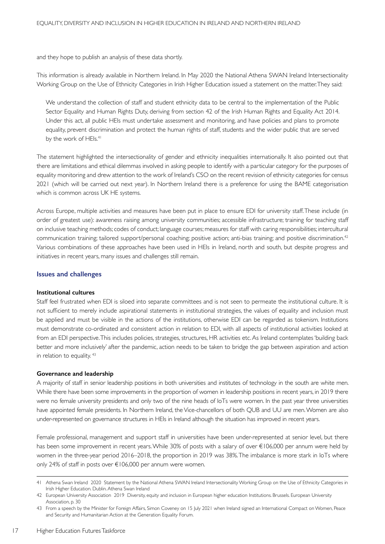and they hope to publish an analysis of these data shortly.

This information is already available in Northern Ireland. In May 2020 the National Athena SWAN Ireland Intersectionality Working Group on the Use of Ethnicity Categories in Irish Higher Education issued a statement on the matter. They said:

We understand the collection of staff and student ethnicity data to be central to the implementation of the Public Sector Equality and Human Rights Duty, deriving from section 42 of the Irish Human Rights and Equality Act 2014. Under this act, all public HEIs must undertake assessment and monitoring, and have policies and plans to promote equality, prevent discrimination and protect the human rights of staff, students and the wider public that are served by the work of HEIs.<sup>41</sup>

The statement highlighted the intersectionality of gender and ethnicity inequalities internationally. It also pointed out that there are limitations and ethical dilemmas involved in asking people to identify with a particular category for the purposes of equality monitoring and drew attention to the work of Ireland's CSO on the recent revision of ethnicity categories for census 2021 (which will be carried out next year). In Northern Ireland there is a preference for using the BAME categorisation which is common across UK HE systems.

Across Europe, multiple activities and measures have been put in place to ensure EDI for university staff. These include (in order of greatest use): awareness raising among university communities; accessible infrastructure; training for teaching staff on inclusive teaching methods; codes of conduct; language courses; measures for staff with caring responsibilities; intercultural communication training; tailored support/personal coaching; positive action; anti-bias training; and positive discrimination.42 Various combinations of these approaches have been used in HEIs in Ireland, north and south, but despite progress and initiatives in recent years, many issues and challenges still remain.

#### **Issues and challenges**

#### **Institutional cultures**

Staff feel frustrated when EDI is siloed into separate committees and is not seen to permeate the institutional culture. It is not sufficient to merely include aspirational statements in institutional strategies, the values of equality and inclusion must be applied and must be visible in the actions of the institutions, otherwise EDI can be regarded as tokenism. Institutions must demonstrate co-ordinated and consistent action in relation to EDI, with all aspects of institutional activities looked at from an EDI perspective.This includes policies, strategies, structures, HR activities etc.As Ireland contemplates'building back better and more inclusively' after the pandemic, action needs to be taken to bridge the gap between aspiration and action in relation to equality. 43

#### **Governance and leadership**

A majority of staff in senior leadership positions in both universities and institutes of technology in the south are white men. While there have been some improvements in the proportion of women in leadership positions in recent years, in 2019 there were no female university presidents and only two of the nine heads of IoTs were women. In the past year three universities have appointed female presidents. In Northern Ireland, the Vice-chancellors of both QUB and UU are men. Women are also under-represented on governance structures in HEIs in Ireland although the situation has improved in recent years.

Female professional, management and support staff in universities have been under-represented at senior level, but there has been some improvement in recent years. While 30% of posts with a salary of over €106,000 per annum were held by women in the three-year period 2016–2018, the proportion in 2019 was 38%. The imbalance is more stark in IoTs where only 24% of staff in posts over €106,000 per annum were women.

<sup>41</sup> Athena Swan Ireland 2020 Statement by the National Athena SWAN Ireland Intersectionality Working Group on the Use of Ethnicity Categories in Irish Higher Education. Dublin. Athena Swan Ireland

<sup>42</sup> European University Association 2019 Diversity, equity and inclusion in European higher education Institutions. Brussels. European University Association, p. 30

<sup>43</sup> From a speech by the Minister for Foreign Affairs, Simon Coveney on 15 July 2021 when Ireland signed an International Compact on Women, Peace and Security and Humanitarian Action at the Generation Equality Forum.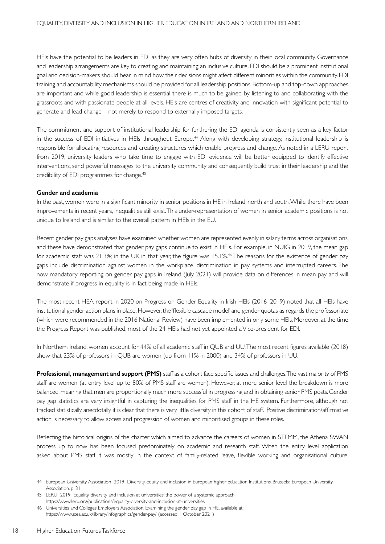HEIs have the potential to be leaders in EDI as they are very often hubs of diversity in their local community. Governance and leadership arrangements are key to creating and maintaining an inclusive culture. EDI should be a prominent institutional goal and decision-makers should bear in mind how their decisions might affect different minorities within the community. EDI training and accountability mechanisms should be provided for all leadership positions. Bottom-up and top-down approaches are important and while good leadership is essential there is much to be gained by listening to and collaborating with the grassroots and with passionate people at all levels. HEIs are centres of creativity and innovation with significant potential to generate and lead change – not merely to respond to externally imposed targets.

The commitment and support of institutional leadership for furthering the EDI agenda is consistently seen as a key factor in the success of EDI initiatives in HEIs throughout Europe.44 Along with developing strategy, institutional leadership is responsible for allocating resources and creating structures which enable progress and change. As noted in a LERU report from 2019, university leaders who take time to engage with EDI evidence will be better equipped to identify effective interventions, send powerful messages to the university community and consequently build trust in their leadership and the credibility of EDI programmes for change.<sup>45</sup>

#### **Gender and academia**

In the past, women were in a significant minority in senior positions in HE in Ireland, north and south. While there have been improvements in recent years, inequalities still exist. This under-representation of women in senior academic positions is not unique to Ireland and is similar to the overall pattern in HEIs in the EU.

Recent gender pay gaps analyses have examined whether women are represented evenly in salary terms across organisations, and these have demonstrated that gender pay gaps continue to exist in HEIs. For example, in NUIG in 2019, the mean gap for academic staff was 21.3%; in the UK in that year, the figure was 15.1%.46 The reasons for the existence of gender pay gaps include discrimination against women in the workplace, discrimination in pay systems and interrupted careers. The now mandatory reporting on gender pay gaps in Ireland (July 2021) will provide data on differences in mean pay and will demonstrate if progress in equality is in fact being made in HEIs.

The most recent HEA report in 2020 on Progress on Gender Equality in Irish HEIs (2016–2019) noted that all HEIs have institutional gender action plans in place. However, the 'flexible cascade model' and gender quotas as regards the professoriate (which were recommended in the 2016 National Review) have been implemented in only some HEIs. Moreover, at the time the Progress Report was published, most of the 24 HEIs had not yet appointed a Vice-president for EDI.

In Nor thern Ireland, women account for 44% of all academic staff in QUB and UU.The most recent figures available (2018) show that 23% of professors in QUB are women (up from 11% in 2000) and 34% of professors in UU.

**Professional, management and support (PMS)** staff as a cohort face specific issues and challenges. The vast majority of PMS staff are women (at entry level up to 80% of PMS staff are women). However, at more senior level the breakdown is more balanced, meaning that men are proportionally much more successful in progressing and in obtaining senior PMS posts. Gender pay gap statistics are very insightful in capturing the inequalities for PMS staff in the HE system. Furthermore, although not tracked statistically, anecdotally it is clear that there is very little diversity in this cohort of staff. Positive discrimination/affirmative action is necessary to allow access and progression of women and minoritised groups in these roles.

Reflecting the historical origins of the charter which aimed to advance the careers of women in STEMM, the Athena SWAN process up to now has been focused predominately on academic and research staff. When the entry level application asked about PMS staff it was mostly in the context of family-related leave, flexible working and organisational culture.

<sup>44</sup> European University Association 2019 Diversity, equity and inclusion in European higher education Institutions. Brussels:. European University Association, p. 31

<sup>45</sup> LERU 2019 Equality, diversity and inclusion at universities: the power of a systemic approach https://www.leru.org/publications/equality-diversity-and-inclusion-at-universities

<sup>46</sup> Universities and Colleges Employers Association, Examining the gender pay gap in HE, available at: https://www.ucea.ac.uk/library/infographics/gender-pay/ (accessed 1 October 2021)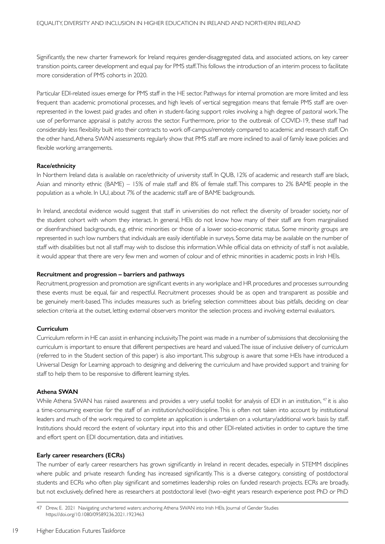Significantly, the new charter framework for Ireland requires gender-disaggregated data, and associated actions, on key career transition points, career development and equal pay for PMS staff. This follows the introduction of an interim process to facilitate more consideration of PMS cohorts in 2020.

Particular EDI-related issues emerge for PMS staff in the HE sector. Pathways for internal promotion are more limited and less frequent than academic promotional processes, and high levels of vertical segregation means that female PMS staff are overrepresented in the lowest paid grades and often in student-facing support roles involving a high degree of pastoral work. The use of performance appraisal is patchy across the sector. Furthermore, prior to the outbreak of COVID-19, these staff had considerably less flexibility built into their contracts to work off-campus/remotely compared to academic and research staff. On the other hand, Athena SWAN assessments regularly show that PMS staff are more inclined to avail of family leave policies and flexible working arrangements.

#### **Race/ethnicity**

In Northern Ireland data is available on race/ethnicity of university staff. In QUB, 12% of academic and research staff are black, Asian and minority ethnic (BAME) – 15% of male staff and 8% of female staff. This compares to 2% BAME people in the population as a whole. In UU, about 7% of the academic staff are of BAME backgrounds.

In Ireland, anecdotal evidence would suggest that staff in universities do not reflect the diversity of broader society, nor of the student cohort with whom they interact. In general, HEIs do not know how many of their staff are from marginalised or disenfranchised backgrounds, e.g. ethnic minorities or those of a lower socio-economic status. Some minority groups are represented in such low numbers that individuals are easily identifiable in surveys. Some data may be available on the number of staff with disabilities but not all staff may wish to disclose this information.While official data on ethnicity of staff is not available, it would appear that there are very few men and women of colour and of ethnic minorities in academic posts in Irish HEIs.

#### **Recruitment and progression – barriers and pathways**

Recruitment, progression and promotion are significant events in any workplace and HR procedures and processes surrounding these events must be equal, fair and respectful. Recruitment processes should be as open and transparent as possible and be genuinely merit-based.This includes measures such as briefing selection committees about bias pitfalls, deciding on clear selection criteria at the outset, letting external observers monitor the selection process and involving external evaluators.

#### **Curriculum**

Curriculum reform in HE can assist in enhancing inclusivity. The point was made in a number of submissions that decolonising the curriculum is important to ensure that different perspectives are heard and valued. The issue of inclusive delivery of curriculum (referred to in the Student section of this paper) is also important. This subgroup is aware that some HEIs have introduced a Universal Design for Learning approach to designing and delivering the curriculum and have provided support and training for staff to help them to be responsive to different learning styles.

#### **Athena SWAN**

While Athena SWAN has raised awareness and provides a very useful toolkit for analysis of EDI in an institution, <sup>47</sup> it is also a time-consuming exercise for the staff of an institution/school/discipline. This is often not taken into account by institutional leaders and much of the work required to complete an application is undertaken on a voluntary/additional work basis by staff. Institutions should record the extent of voluntary input into this and other EDI-related activities in order to capture the time and effort spent on EDI documentation, data and initiatives.

#### **Early career researchers (ECRs)**

The number of early career researchers has grown significantly in Ireland in recent decades, especially in STEMM disciplines where public and private research funding has increased significantly. This is a diverse category, consisting of postdoctoral students and ECRs who often play significant and sometimes leadership roles on funded research projects. ECRs are broadly, but not exclusively, defined here as researchers at postdoctoral level (two–eight years research experience post PhD or PhD

<sup>47</sup> Drew, E. 2021 Navigating unchartered waters: anchoring Athena SWAN into Irish HEIs. Journal of Gender Studies https://doi.org/10.1080/09589236.2021.1923463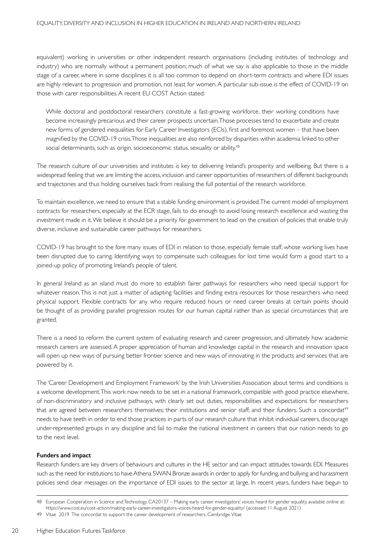equivalent) working in universities or other independent research organisations (including institutes of technology and industry) who are normally without a permanent position; much of what we say is also applicable to those in the middle stage of a career, where in some disciplines it is all too common to depend on short-term contracts and where EDI issues are highly relevant to progression and promotion, not least for women. A particular sub-issue is the effect of COVID-19 on those with carer responsibilities. A recent EU COST Action stated:

While doctoral and postdoctoral researchers constitute a fast-growing workforce, their working conditions have become increasingly precarious and their career prospects uncertain. Those processes tend to exacerbate and create new forms of gendered inequalities for Early Career Investigators (ECIs), first and foremost women – that have been magnified by the COVID-19 crisis.Those inequalities are also reinforced by disparities within academia linked to other social determinants, such as origin, socioeconomic status, sexuality or ability.<sup>48</sup>

The research culture of our universities and institutes is key to delivering Ireland's prosperity and wellbeing. But there is a widespread feeling that we are limiting the access, inclusion and career opportunities of researchers of different backgrounds and trajectories and thus holding ourselves back from realising the full potential of the research workforce.

To maintain excellence, we need to ensure that a stable funding environment is provided. The current model of employment contracts for researchers, especially at the ECR stage, fails to do enough to avoid losing research excellence and wasting the investment made in it. We believe it should be a priority for government to lead on the creation of policies that enable truly diverse, inclusive and sustainable career pathways for researchers.

COVID-19 has brought to the fore many issues of EDI in relation to those, especially female staff, whose working lives have been disrupted due to caring. Identifying ways to compensate such colleagues for lost time would form a good start to a joined-up policy of promoting Ireland's people of talent.

In general Ireland as an island must do more to establish fairer pathways for researchers who need special support for whatever reason.This is not just a matter of adapting facilities and finding extra resources for those researchers who need physical support. Flexible contracts for any who require reduced hours or need career breaks at certain points should be thought of as providing parallel progression routes for our human capital rather than as special circumstances that are granted.

There is a need to reform the current system of evaluating research and career progression, and ultimately how academic research careers are assessed. A proper appreciation of human and knowledge capital in the research and innovation space will open up new ways of pursuing better frontier science and new ways of innovating in the products and services that are powered by it.

The 'Career Development and Employment Framework' by the Irish Universities Association about terms and conditions is a welcome development. This work now needs to be set in a national framework, compatible with good practice elsewhere, of non-discriminatory and inclusive pathways, with clearly set out duties, responsibilities and expectations for researchers that are agreed between researchers themselves; their institutions and senior staff; and their funders. Such a concordat<sup>49</sup> needs to have teeth in order to end those practices in parts of our research culture that inhibit individual careers, discourage under-represented groups in any discipline and fail to make the national investment in careers that our nation needs to go to the next level.

#### **Funders and impact**

Research funders are key drivers of behaviours and cultures in the HE sector and can impact attitudes towards EDI. Measures such as the need for institutions to have Athena SWAN Bronze awards in order to apply for funding, and bullying and harassment policies send clear messages on the importance of EDI issues to the sector at large. In recent years, funders have begun to

<sup>48</sup> European Cooperation in Science and Technology, CA20137 – Making early career investigators' voices heard for gender equality, available online at: https://www.cost.eu/cost-action/making-early-career-investigators-voices-heard-for-gender-equality/ (accessed 11 August 2021)

<sup>49</sup> Vitae 2019 The concordat to support the career development of researchers. Cambridge. Vitae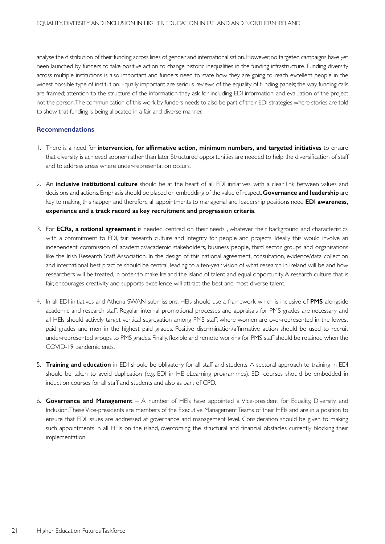analyse the distribution of their funding across lines of gender and internationalisation. However, no targeted campaigns have yet been launched by funders to take positive action to change historic inequalities in the funding infrastructure. Funding diversity across multiple institutions is also important and funders need to state how they are going to reach excellent people in the widest possible type of institution. Equally important are serious reviews of the equality of funding panels; the way funding calls are framed; attention to the structure of the information they ask for including EDI information; and evaluation of the project not the person. The communication of this work by funders needs to also be part of their EDI strategies where stories are told to show that funding is being allocated in a fair and diverse manner.

#### **Recommendations**

- 1. There is a need for **intervention, for affirmative action, minimum numbers, and targeted initiatives** to ensure that diversity is achieved sooner rather than later. Structured opportunities are needed to help the diversification of staff and to address areas where under-representation occurs.
- 2. An **inclusive institutional culture** should be at the heart of all EDI initiatives, with a clear link between values and decisions and actions. Emphasis should be placed on embedding of the value of respect. **Governance and leadership** are key to making this happen and therefore all appointments to managerial and leadership positions need **EDI awareness, experience and a track record as key recruitment and progression criteria**.
- 3. For **ECRs, a national agreement** is needed, centred on their needs , whatever their background and characteristics, with a commitment to EDI, fair research culture and integrity for people and projects. Ideally this would involve an independent commission of academics/academic stakeholders, business people, third sector groups and organisations like the Irish Research Staff Association. In the design of this national agreement, consultation, evidence/data collection and international best practice should be central, leading to a ten-year vision of what research in Ireland will be and how researchers will be treated, in order to make Ireland the island of talent and equal opportunity. A research culture that is fair, encourages creativity and supports excellence will attract the best and most diverse talent.
- 4. In all EDI initiatives and Athena SWAN submissions, HEIs should use a framework which is inclusive of **PMS** alongside academic and research staff. Regular internal promotional processes and appraisals for PMS grades are necessary and all HEIs should actively target vertical segregation among PMS staff, where women are over-represented in the lowest paid grades and men in the highest paid grades. Positive discrimination/affirmative action should be used to recruit under-represented groups to PMS grades. Finally, flexible and remote working for PMS staff should be retained when the COVID-19 pandemic ends.
- 5. **Training and education** in EDI should be obligatory for all staff and students. A sectoral approach to training in EDI should be taken to avoid duplication (e.g. EDI in HE eLearning programmes). EDI courses should be embedded in induction courses for all staff and students and also as part of CPD.
- 6. **Governance and Management** A number of HEIs have appointed a Vice-president for Equality, Diversity and Inclusion. These Vice-presidents are members of the Executive Management Teams of their HEIs and are in a position to ensure that EDI issues are addressed at governance and management level. Consideration should be given to making such appointments in all HEIs on the island, overcoming the structural and financial obstacles currently blocking their implementation.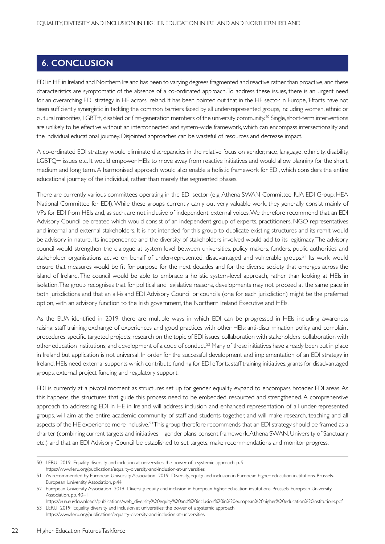## **6. CONCLUSION**

EDI in HE in Ireland and Northern Ireland has been to varying degrees fragmented and reactive rather than proactive, and these characteristics are symptomatic of the absence of a co-ordinated approach. To address these issues, there is an urgent need for an overarching EDI strategy in HE across Ireland. It has been pointed out that in the HE sector in Europe, 'Efforts have not been sufficiently synergistic in tackling the common barriers faced by all under-represented groups, including women, ethnic or cultural minorities, LGBT+, disabled or first-generation members of the university community.'50 Single, short-term interventions are unlikely to be effective without an interconnected and system-wide framework, which can encompass intersectionality and the individual educational journey. Disjointed approaches can be wasteful of resources and decrease impact.

A co-ordinated EDI strategy would eliminate discrepancies in the relative focus on gender, race, language, ethnicity, disability, LGBTQ+ issues etc. It would empower HEIs to move away from reactive initiatives and would allow planning for the short, medium and long term. A harmonised approach would also enable a holistic framework for EDI, which considers the entire educational journey of the individual, rather than merely the segmented phases.

There are currently various committees operating in the EDI sector (e.g. Athena SWAN Committee; IUA EDI Group; HEA National Committee for EDI). While these groups currently carry out very valuable work, they generally consist mainly of VPs for EDI from HEIs and, as such, are not inclusive of independent, external voices. We therefore recommend that an EDI Advisory Council be created which would consist of an independent group of experts, practitioners, NGO representatives and internal and external stakeholders. It is not intended for this group to duplicate existing structures and its remit would be advisory in nature. Its independence and the diversity of stakeholders involved would add to its legitimacy. The advisory council would strengthen the dialogue at system level between universities, policy makers, funders, public authorities and stakeholder organisations active on behalf of under-represented, disadvantaged and vulnerable groups.<sup>51</sup> Its work would ensure that measures would be fit for purpose for the next decades and for the diverse society that emerges across the island of Ireland. The council would be able to embrace a holistic system-level approach, rather than looking at HEIs in isolation. The group recognises that for political and legislative reasons, developments may not proceed at the same pace in both jurisdictions and that an all-island EDI Advisory Council or councils (one for each jurisdiction) might be the preferred option, with an advisory function to the Irish government, the Northern Ireland Executive and HEIs.

As the EUA identified in 2019, there are multiple ways in which EDI can be progressed in HEIs including awareness raising; staff training; exchange of experiences and good practices with other HEIs; anti-discrimination policy and complaint procedures; specific targeted projects; research on the topic of EDI issues; collaboration with stakeholders; collaboration with other education institutions; and development of a code of conduct.52 Many of these initiatives have already been put in place in Ireland but application is not universal. In order for the successful development and implementation of an EDI strategy in Ireland, HEIs need external supports which contribute funding for EDI efforts, staff training initiatives, grants for disadvantaged groups, external project funding and regulatory support.

EDI is currently at a pivotal moment as structures set up for gender equality expand to encompass broader EDI areas. As this happens, the structures that guide this process need to be embedded, resourced and strengthened. A comprehensive approach to addressing EDI in HE in Ireland will address inclusion and enhanced representation of all under-represented groups, will aim at the entire academic community of staff and students together, and will make research, teaching and all aspects of the HE experience more inclusive.<sup>53</sup> This group therefore recommends that an EDI strategy should be framed as a charter (combining current targets and initiatives – gender plans, consent framework, Athena SWAN, University of Sanctuary etc.) and that an EDI Advisory Council be established to set targets, make recommendations and monitor progress.

<sup>50</sup> LERU 2019 Equality, diversity and inclusion at universities: the power of a systemic approach, p. 9

https://www.leru.org/publications/equality-diversity-and-inclusion-at-universities

<sup>51</sup> As recommended by European University Association 2019 Diversity, equity and inclusion in European higher education institutions. Brussels. European University Association, p.44

<sup>52</sup> European University Association 2019 Diversity, equity and inclusion in European higher education institutions. Brussels. European University Association, pp. 40–1

https://eua.eu/downloads/publications/web\_diversity%20equity%20and%20inclusion%20in%20european%20higher%20education%20institutions.pdf 53 LERU 2019 Equality, diversity and inclusion at universities: the power of a systemic approach

https://www.leru.org/publications/equality-diversity-and-inclusion-at-universities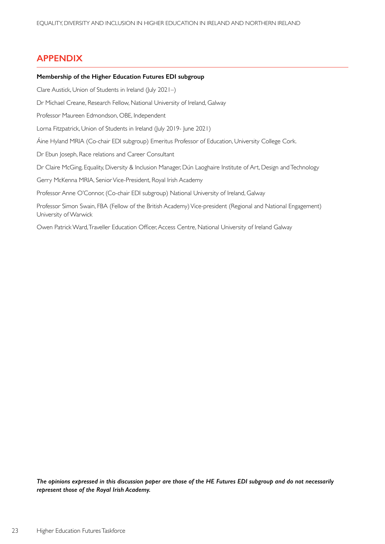## **APPENDIX**

#### **Membership of the Higher Education Futures EDI subgroup**

Clare Austick, Union of Students in Ireland (July 2021–)

Dr Michael Creane, Research Fellow, National University of Ireland, Galway

Professor Maureen Edmondson, OBE, Independent

Lorna Fitzpatrick, Union of Students in Ireland (July 2019- June 2021)

Áine Hyland MRIA (Co-chair EDI subgroup) Emeritus Professor of Education, University College Cork.

Dr Ebun Joseph, Race relations and Career Consultant

Dr Claire McGing, Equality, Diversity & Inclusion Manager, Dún Laoghaire Institute of Art, Design and Technology

Gerry McKenna MRIA, Senior Vice-President, Royal Irish Academy

Professor Anne O'Connor, (Co-chair EDI subgroup) National University of Ireland, Galway

Professor Simon Swain, FBA (Fellow of the British Academy) Vice-president (Regional and National Engagement) University of Warwick

Owen Patrick Ward, Traveller Education Officer, Access Centre, National University of Ireland Galway

*The opinions expressed in this discussion paper are those of the HE Futures EDI subgroup and do not necessarily represent those of the Royal Irish Academy.*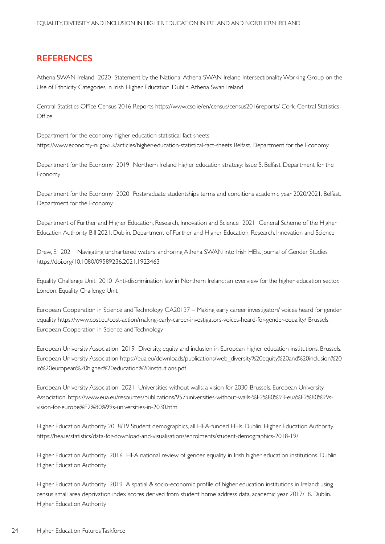## **REFERENCES**

Athena SWAN Ireland 2020 Statement by the National Athena SWAN Ireland Intersectionality Working Group on the Use of Ethnicity Categories in Irish Higher Education. Dublin. Athena Swan Ireland

Central Statistics Office Census 2016 Reports https://www.cso.ie/en/census/census2016reports/ Cork. Central Statistics **Office** 

Department for the economy higher education statistical fact sheets https://www.economy-ni.gov.uk/articles/higher-education-statistical-fact-sheets Belfast. Department for the Economy

Department for the Economy 2019 Northern Ireland higher education strategy: Issue 5. Belfast. Department for the Economy

Department for the Economy 2020 Postgraduate studentships terms and conditions academic year 2020/2021. Belfast. Department for the Economy

Department of Further and Higher Education, Research, Innovation and Science 2021 General Scheme of the Higher Education Authority Bill 2021. Dublin. Department of Further and Higher Education, Research, Innovation and Science

Drew, E. 2021 Navigating unchartered waters: anchoring Athena SWAN into Irish HEIs. Journal of Gender Studies https://doi.org/10.1080/09589236.2021.1923463

Equality Challenge Unit 2010 Anti-discrimination law in Northern Ireland: an overview for the higher education sector. London. Equality Challenge Unit

European Cooperation in Science and Technology CA20137 – Making early career investigators' voices heard for gender equality https://www.cost.eu/cost-action/making-early-career-investigators-voices-heard-for-gender-equality/ Brussels. European Cooperation in Science and Technology

European University Association 2019 Diversity, equity and inclusion in European higher education institutions. Brussels. European University Association https://eua.eu/downloads/publications/web\_diversity%20equity%20and%20inclusion%20 in%20european%20higher%20education%20institutions.pdf

European University Association 2021 Universities without walls: a vision for 2030. Brussels. European University Association. https://www.eua.eu/resources/publications/957:universities-without-walls-%E2%80%93-eua%E2%80%99svision-for-europe%E2%80%99s-universities-in-2030.html

Higher Education Authority 2018/19 Student demographics, all HEA-funded HEIs. Dublin. Higher Education Authority. https://hea.ie/statistics/data-for-download-and-visualisations/enrolments/student-demographics-2018-19/

Higher Education Authority 2016 HEA national review of gender equality in Irish higher education institutions. Dublin. Higher Education Authority

Higher Education Authority 2019 A spatial & socio-economic profile of higher education institutions in Ireland: using census small area deprivation index scores derived from student home address data, academic year 2017/18. Dublin. Higher Education Authority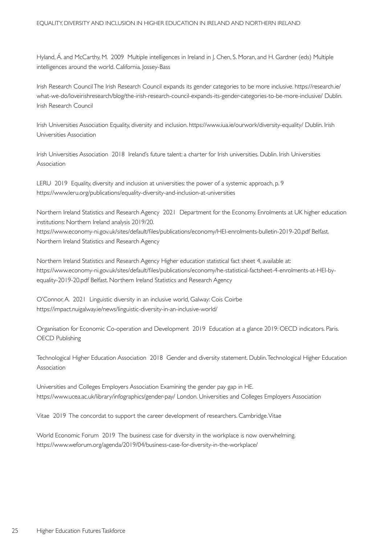Hyland, Á. and McCarthy, M. 2009 Multiple intelligences in Ireland in J. Chen, S. Moran, and H. Gardner (eds) Multiple intelligences around the world. California. Jossey-Bass

Irish Research Council The Irish Research Council expands its gender categories to be more inclusive. https://research.ie/ what-we-do/loveirishresearch/blog/the-irish-research-council-expands-its-gender-categories-to-be-more-inclusive/ Dublin. Irish Research Council

Irish Universities Association Equality, diversity and inclusion. https://www.iua.ie/ourwork/diversity-equality/ Dublin. Irish Universities Association

Irish Universities Association 2018 Ireland's future talent: a charter for Irish universities. Dublin. Irish Universities Association

LERU 2019 Equality, diversity and inclusion at universities: the power of a systemic approach, p. 9 https://www.leru.org/publications/equality-diversity-and-inclusion-at-universities

Northern Ireland Statistics and Research Agency 2021 Department for the Economy. Enrolments at UK higher education institutions: Northern Ireland analysis 2019/20. https://www.economy-ni.gov.uk/sites/default/files/publications/economy/HEI-enrolments-bulletin-2019-20.pdf Belfast. Northern Ireland Statistics and Research Agency

Northern Ireland Statistics and Research Agency Higher education statistical fact sheet 4, available at: https://www.economy-ni.gov.uk/sites/default/files/publications/economy/he-statistical-factsheet-4-enrolments-at-HEI-byequality-2019-20.pdf Belfast. Northern Ireland Statistics and Research Agency

O'Connor, A. 2021 Linguistic diversity in an inclusive world, Galway: Cois Coirbe https://impact.nuigalway.ie/news/linguistic-diversity-in-an-inclusive-world/

Organisation for Economic Co-operation and Development 2019 Education at a glance 2019: OECD indicators. Paris. OECD Publishing

Technological Higher Education Association 2018 Gender and diversity statement. Dublin. Technological Higher Education Association

Universities and Colleges Employers Association Examining the gender pay gap in HE. https://www.ucea.ac.uk/library/infographics/gender-pay/ London. Universities and Colleges Employers Association

Vitae 2019 The concordat to support the career development of researchers. Cambridge. Vitae

World Economic Forum 2019 The business case for diversity in the workplace is now overwhelming. https://www.weforum.org/agenda/2019/04/business-case-for-diversity-in-the-workplace/